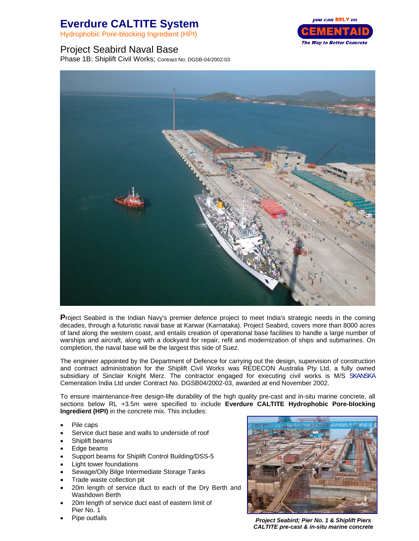## **Everdure CALTITE System**

Hydrophobic Pore-blocking Ingredient (HPI)

## Project Seabird Naval Base

Phase 1B: Shiplift Civil Works; Contract No: DGSB-04/2002-03



**P**roject Seabird is the Indian Navy's premier defence project to meet India's strategic needs in the coming decades, through a futuristic naval base at Karwar (Karnataka). Project Seabird, covers more than 8000 acres of land along the western coast, and entails creation of operational base facilities to handle a large number of warships and aircraft, along with a dockyard for repair, refit and modernization of ships and submarines. On completion, the naval base will be the largest this side of Suez.

The engineer appointed by the Department of Defence for carrying out the design, supervision of construction and contract administration for the Shiplift Civil Works was REDECON Australia Pty Ltd, a fully owned subsidiary of Sinclair Knight Merz. The contractor engaged for executing civil works is M/S SKANSKA Cementation India Ltd under Contract No. DGSB04/2002-03, awarded at end November 2002.

To ensure maintenance-free design-life durability of the high quality pre-cast and in-situ marine concrete, all sections below RL +3.5m were specified to include **Everdure CALTITE Hydrophobic Pore-blocking Ingredient (HPI)** in the concrete mix. This includes:

- Pile caps
- Service duct base and walls to underside of roof
- Shiplift beams
- Edge beams
- Support beams for Shiplift Control Building/DSS-5
- Light tower foundations
- Sewage/Oily Bilge Intermediate Storage Tanks
- Trade waste collection pit
- 20m length of service duct to each of the Dry Berth and Washdown Berth
- 20m length of service duct east of eastern limit of Pier No. 1
- 



• Pipe outfalls *Project Seabird; Pier No. 1 & Shiplift Piers CALTITE pre-cast & in-situ marine concrete*